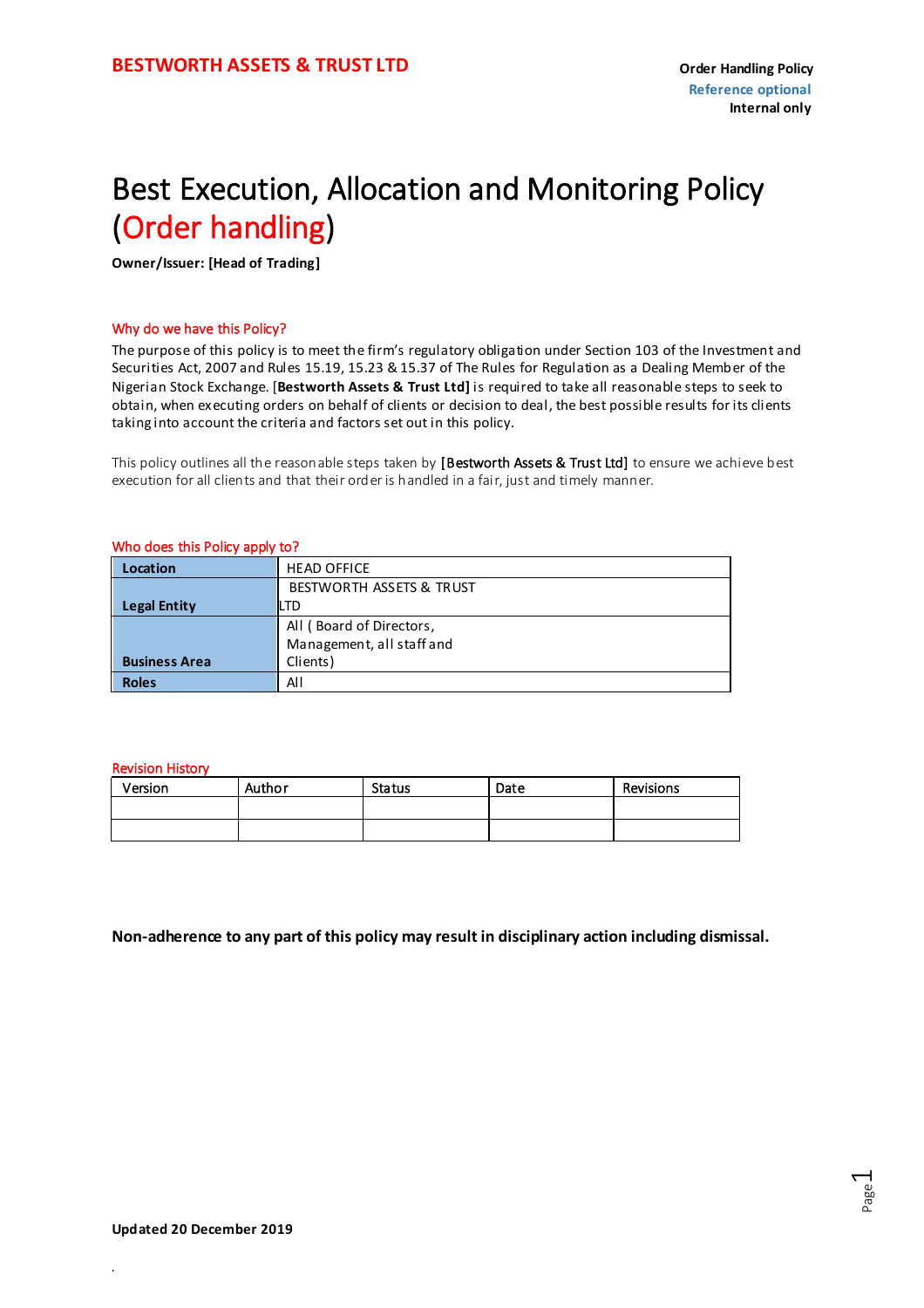### Best Execution, Allocation and Monitoring Policy (Order handling)

**Owner/Issuer: [Head of Trading]**

#### Why do we have this Policy?

The purpose of this policy is to meet the firm's regulatory obligation under Section 103 of the Investment and Securities Act, 2007 and Rules 15.19, 15.23 & 15.37 of The Rules for Regulation as a Dealing Member of the Nigerian Stock Exchange. [**Bestworth Assets & Trust Ltd]** is required to take all reasonable steps to seek to obtain, when executing orders on behalf of clients or decision to deal, the best possible results for its clients taking into account the criteria and factors set out in this policy.

This policy outlines all the reasonable steps taken by [Bestworth Assets & Trust Ltd] to ensure we achieve best execution for all clients and that their order is handled in a fair, just and timely manner.

#### Who does this Policy apply to?

| Location             | <b>HEAD OFFICE</b>        |  |  |  |
|----------------------|---------------------------|--|--|--|
|                      | BESTWORTH ASSETS & TRUST  |  |  |  |
| <b>Legal Entity</b>  | <b>LTD</b>                |  |  |  |
|                      | All (Board of Directors,  |  |  |  |
|                      | Management, all staff and |  |  |  |
| <b>Business Area</b> | Clients)                  |  |  |  |
| <b>Roles</b>         | All                       |  |  |  |

#### Revision History

| Version | Author | <b>Status</b> | Date | Revisions |
|---------|--------|---------------|------|-----------|
|         |        |               |      |           |
|         |        |               |      |           |

**Non-adherence to any part of this policy may result in disciplinary action including dismissal.**

*.*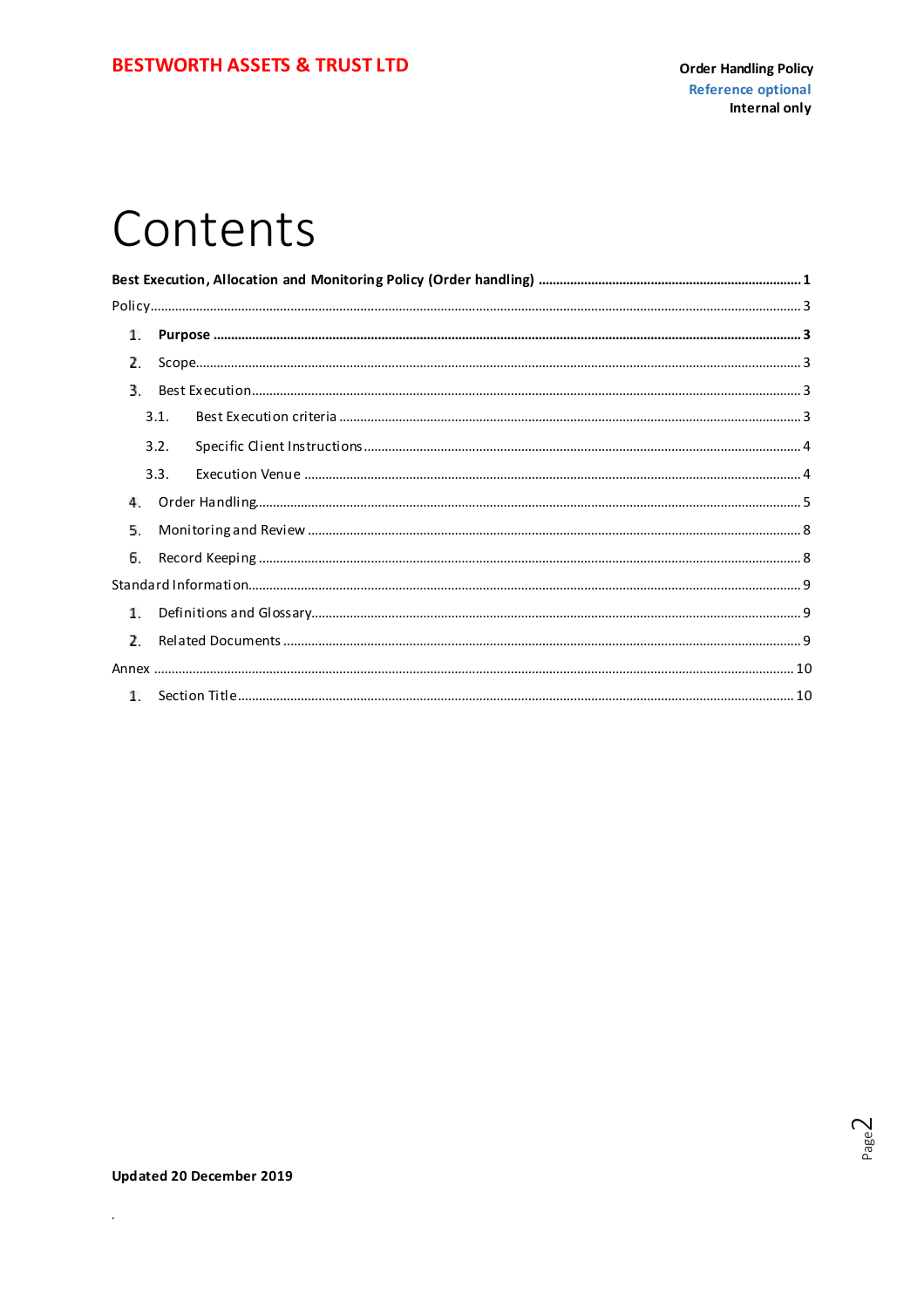### Contents

| 1.             |      |  |
|----------------|------|--|
| $\overline{ }$ |      |  |
| 3.             |      |  |
|                | 3.1. |  |
|                | 3.2. |  |
|                | 3.3. |  |
| 4.             |      |  |
| 5.             |      |  |
| 6.             |      |  |
|                |      |  |
| 1.             |      |  |
| $\overline{2}$ |      |  |
|                |      |  |
|                |      |  |

 $\hat{\mathcal{L}}$ 

Page $2$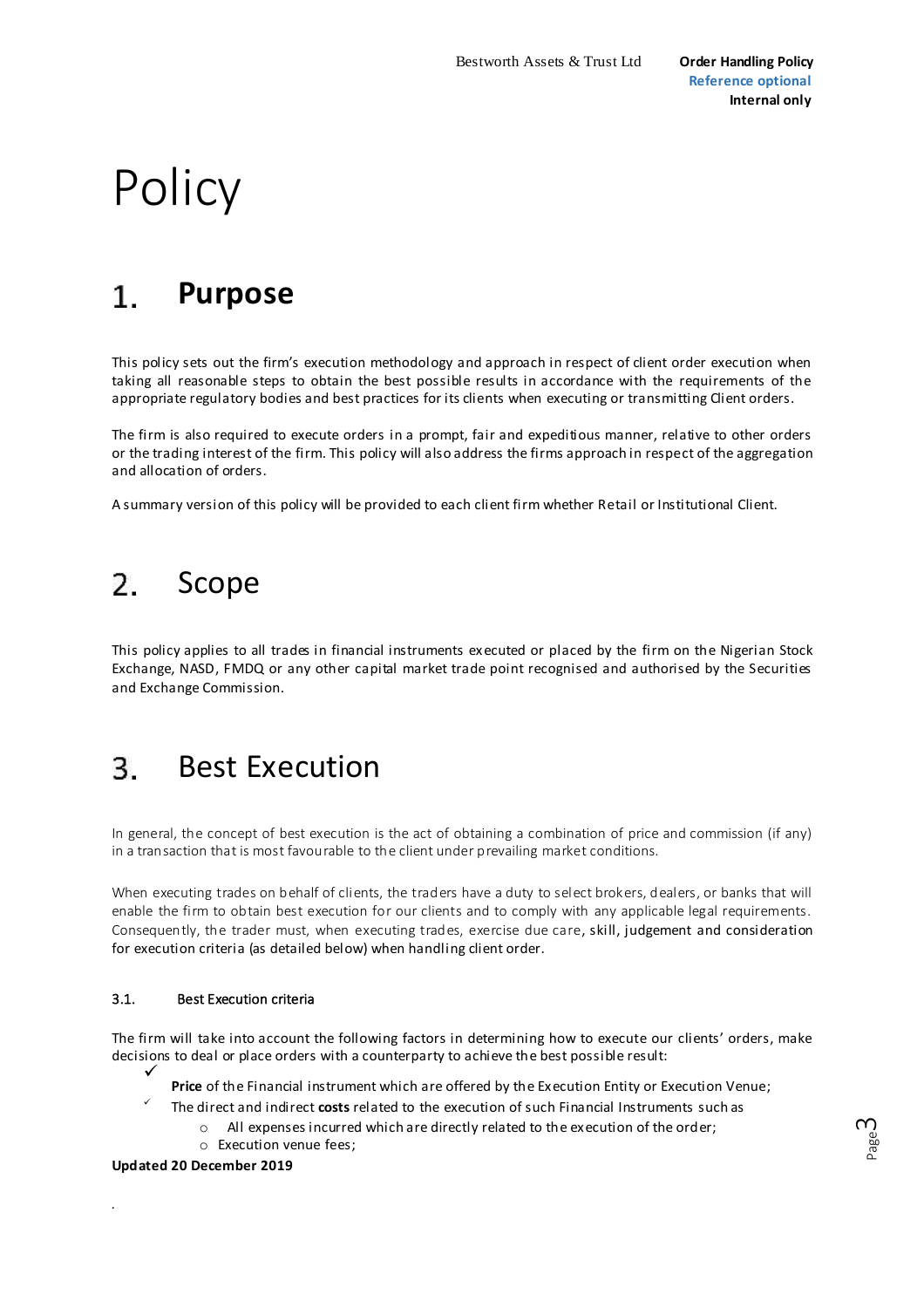# <span id="page-2-0"></span>**Policy**

#### $1_{-}$ **Purpose**

This policy sets out the firm's execution methodology and approach in respect of client order execution when taking all reasonable steps to obtain the best possible results in accordance with the requirements of the appropriate regulatory bodies and best practices for its clients when executing or transmitting Client orders.

The firm is also required to execute orders in a prompt, fair and expeditious manner, relative to other orders or the trading interest of the firm. This policy will also address the firms approach in respect of the aggregation and allocation of orders.

A summary version of this policy will be provided to each client firm whether Retail or Institutional Client.

#### 2. Scope

This policy applies to all trades in financial instruments executed or placed by the firm on the Nigerian Stock Exchange, NASD, FMDQ or any other capital market trade point recognised and authorised by the Securities and Exchange Commission.

#### 3. Best Execution

In general, the concept of best execution is the act of obtaining a combination of price and commission (if any) in a transaction that is most favourable to the client under prevailing market conditions.

When executing trades on behalf of clients, the traders have a duty to select brokers, dealers, or banks that will enable the firm to obtain best execution for our clients and to comply with any applicable legal requirements. Consequently, the trader must, when executing trades, exercise due care, skill, judgement and consideration for execution criteria (as detailed below) when handling client order.

#### 3.1. Best Execution criteria

The firm will take into account the following factors in determining how to execute our clients' orders, make decisions to deal or place orders with a counterparty to achieve the best possible result:

- $\checkmark$ **Price** of the Financial instrument which are offered by the Execution Entity or Execution Venue;
- ✓ The direct and indirect **costs** related to the execution of such Financial Instruments such as
	- o All expenses incurred which are directly related to the execution of the order;
	- o Execution venue fees;

**Updated 20 December 2019**

*.*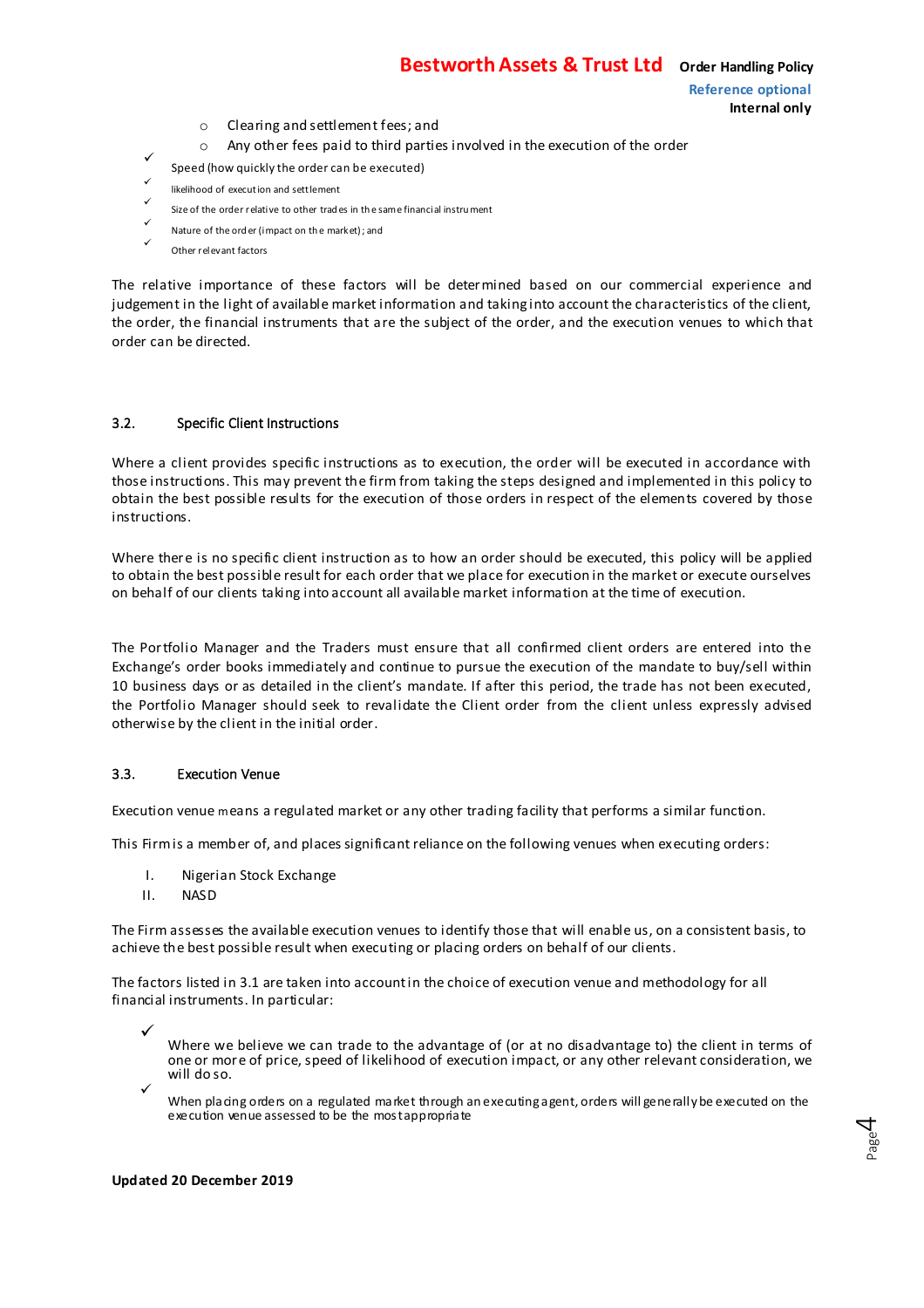**Internal only**

- o Clearing and settlement fees; and
- o Any other fees paid to third parties involved in the execution of the order
- <span id="page-3-0"></span> $\checkmark$ Speed (how quickly the order can be executed)
- $\checkmark$ likelihood of execution and settlement  $\checkmark$
- Size of the order relative to other trad es in th e same financial instru ment
- $\checkmark$ Nature of the ord er (impact on th e market) ; and
- $\checkmark$ Other relevant factors

The relative importance of these factors will be determined based on our commercial experience and judgement in the light of available market information and taking into account the characteristics of the client, the order, the financial instruments that are the subject of the order, and the execution venues to which that order can be directed.

#### 3.2. Specific Client Instructions

Where a client provides specific instructions as to execution, the order will be executed in accordance with those instructions. This may prevent the firm from taking the steps designed and implemented in this policy to obtain the best possible results for the execution of those orders in respect of the elements covered by those instructions.

Where there is no specific client instruction as to how an order should be executed, this policy will be applied to obtain the best possible result for each order that we place for execution in the market or execute ourselves on behalf of our clients taking into account all available market information at the time of execution.

The Portfolio Manager and the Traders must ensure that all confirmed client orders are entered into the Exchange's order books immediately and continue to pursue the execution of the mandate to buy/sell within 10 business days or as detailed in the client's mandate. If after this period, the trade has not been executed, the Portfolio Manager should seek to revalidate the Client order from the client unless expressly advised otherwise by the client in the initial order.

#### 3.3. Execution Venue

Execution venue means a regulated market or any other trading facility that performs a similar function.

This Firm is a member of, and places significant reliance on the following venues when executing orders:

- I. Nigerian Stock Exchange
- II. NASD

The Firm assesses the available execution venues to identify those that will enable us, on a consistent basis, to achieve the best possible result when executing or placing orders on behalf of our clients.

The factors listed in 3.1 are taken into account in the choice of execution venue and methodology for all financial instruments. In particular:

 $\checkmark$ Where we believe we can trade to the advantage of (or at no disadvantage to) the client in terms of one or more of price, speed of likelihood of execution impact, or any other relevant consideration, we will do so.

 $\checkmark$ When placing orders on a regulated market through an executing agent, orders will generally be executed on the execution venue assessed to be the most appropriate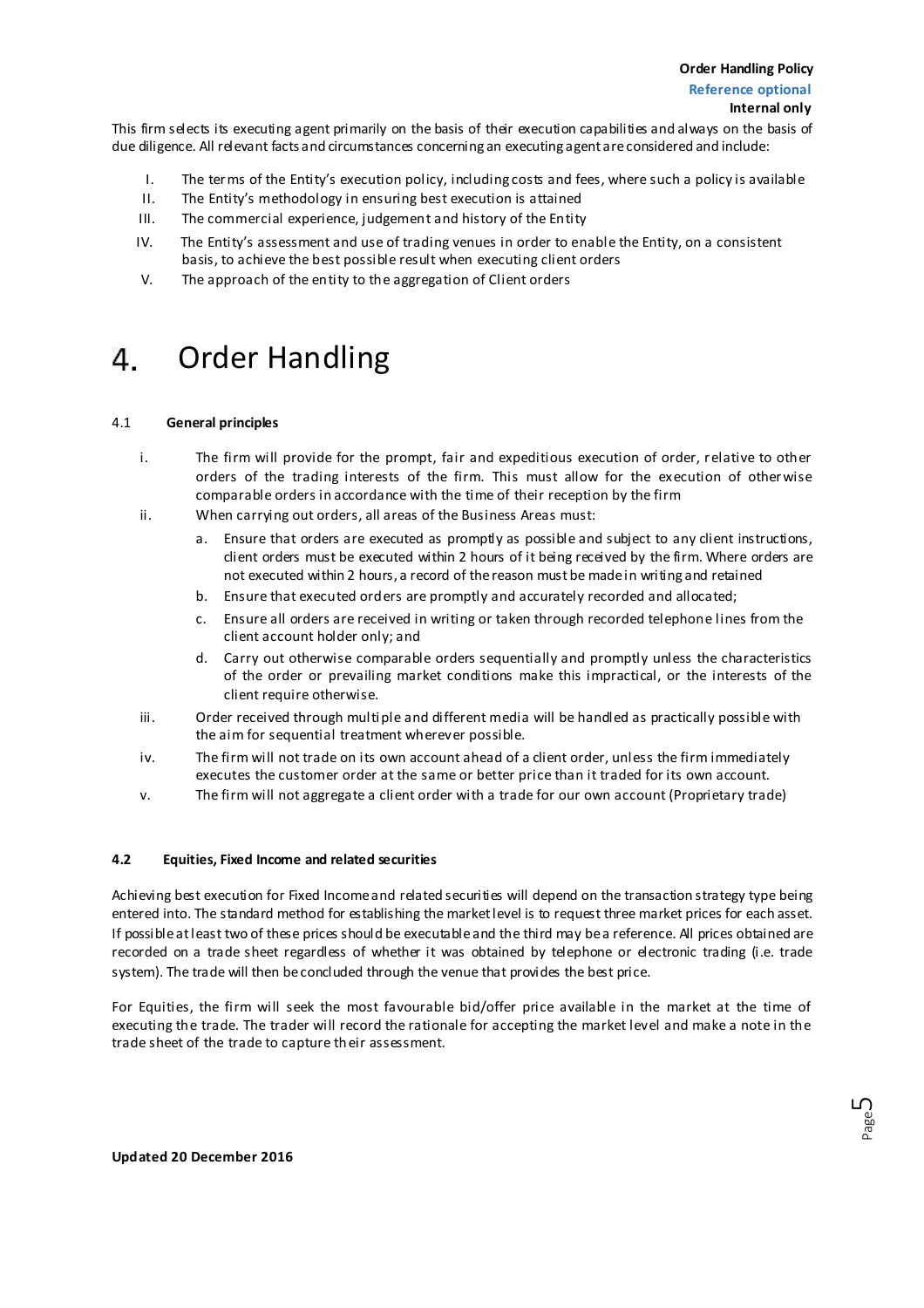<span id="page-4-0"></span>This firm selects its executing agent primarily on the basis of their execution capabilities and always on the basis of due diligence. All relevant facts and circumstances concerning an executing agent are considered and include:

- I. The terms of the Entity's execution policy, including costs and fees, where such a policy is available
- II. The Entity's methodology in ensuring best execution is attained
- III. The commercial experience, judgement and history of the Entity
- IV. The Entity's assessment and use of trading venues in order to enable the Entity, on a consistent basis, to achieve the best possible result when executing client orders
- V. The approach of the entity to the aggregation of Client orders

#### Order Handling 4.

#### 4.1 **General principles**

- i. The firm will provide for the prompt, fair and expeditious execution of order, relative to other orders of the trading interests of the firm. This must allow for the execution of otherwise comparable orders in accordance with the time of their reception by the firm
- ii. When carrying out orders, all areas of the Business Areas must:
	- a. Ensure that orders are executed as promptly as possible and subject to any client instructions, client orders must be executed within 2 hours of it being received by the firm. Where orders are not executed within 2 hours, a record of the reason must be made in writing and retained
	- b. Ensure that executed orders are promptly and accurately recorded and allocated;
	- Ensure all orders are received in writing or taken through recorded telephone lines from the client account holder only; and
	- d. Carry out otherwise comparable orders sequentially and promptly unless the characteristics of the order or prevailing market conditions make this impractical, or the interests of the client require otherwise.
- iii. Order received through multiple and different media will be handled as practically possible with the aim for sequential treatment wherever possible.
- iv. The firm will not trade on its own account ahead of a client order, unless the firm immediately executes the customer order at the same or better price than it traded for its own account.
- v. The firm will not aggregate a client order with a trade for our own account (Proprietary trade)

#### **4.2 Equities, Fixed Income and related securities**

Achieving best execution for Fixed Income and related securities will depend on the transaction strategy type being entered into. The standard method for establishing the market level is to request three market prices for each asset. If possible at least two of these prices should be executable and the third may be a reference. All prices obtained are recorded on a trade sheet regardless of whether it was obtained by telephone or electronic trading (i.e. trade system). The trade will then be concluded through the venue that provides the best price.

For Equities, the firm will seek the most favourable bid/offer price available in the market at the time of executing the trade. The trader will record the rationale for accepting the market level and make a note in the trade sheet of the trade to capture their assessment.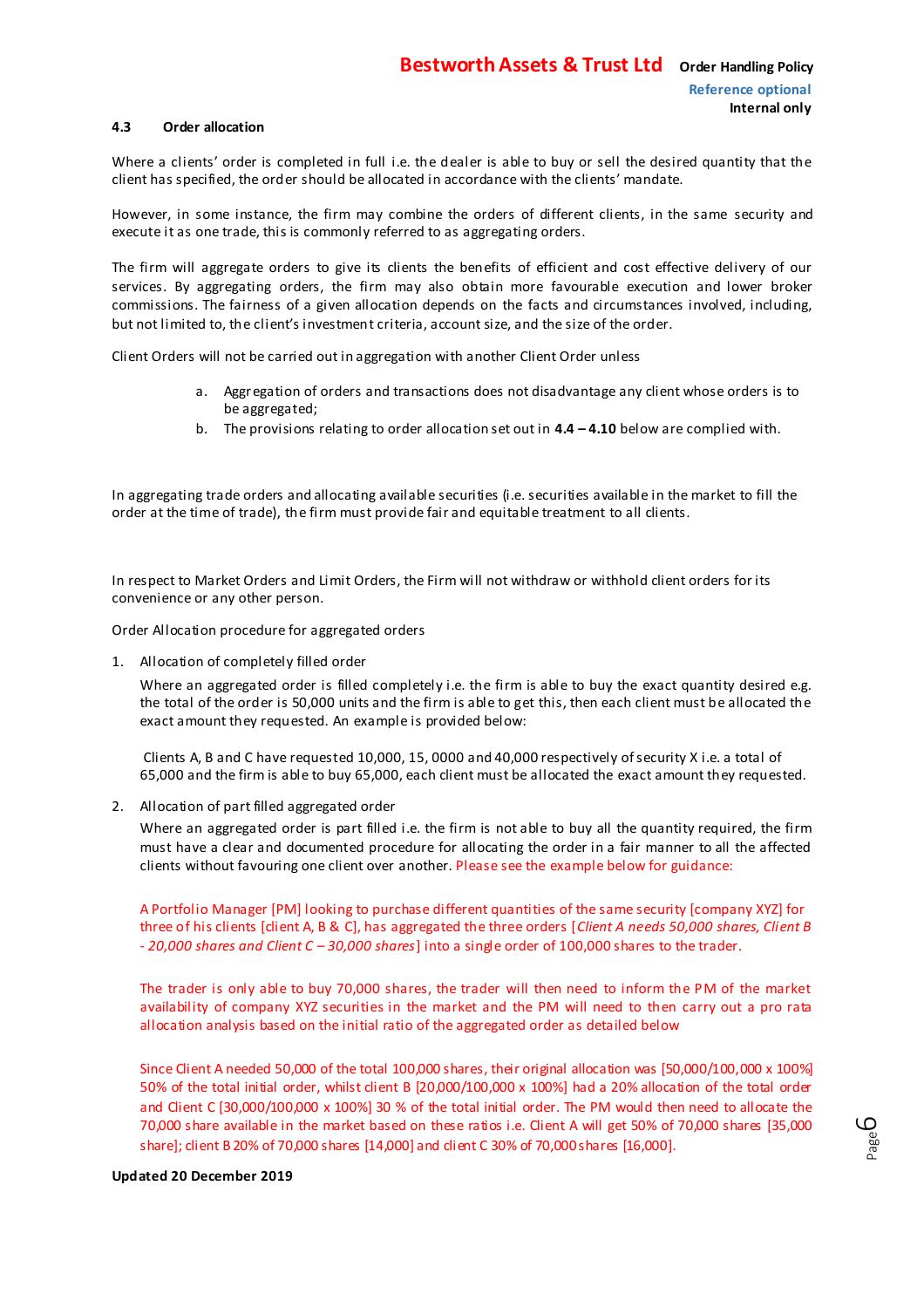#### **4.3 Order allocation**

Where a clients' order is completed in full i.e. the dealer is able to buy or sell the desired quantity that the client has specified, the order should be allocated in accordance with the clients' mandate.

However, in some instance, the firm may combine the orders of different clients, in the same security and execute it as one trade, this is commonly referred to as aggregating orders.

The firm will aggregate orders to give its clients the benefits of efficient and cost effective delivery of our services. By aggregating orders, the firm may also obtain more favourable execution and lower broker commissions. The fairness of a given allocation depends on the facts and circumstances involved, including, but not limited to, the client's investment criteria, account size, and the size of the order.

Client Orders will not be carried out in aggregation with another Client Order unless

- a. Aggregation of orders and transactions does not disadvantage any client whose orders is to be aggregated;
- b. The provisions relating to order allocation set out in **4.4 – 4.10** below are complied with.

In aggregating trade orders and allocating available securities (i.e. securities available in the market to fill the order at the time of trade), the firm must provide fair and equitable treatment to all clients.

In respect to Market Orders and Limit Orders, the Firm will not withdraw or withhold client orders for its convenience or any other person.

Order Allocation procedure for aggregated orders

1. Allocation of completely filled order

Where an aggregated order is filled completely i.e. the firm is able to buy the exact quantity desired e.g. the total of the order is 50,000 units and the firm is able to get this, then each client must be allocated the exact amount they requested. An example is provided below:

Clients A, B and C have requested 10,000, 15, 0000 and 40,000 respectively of security X i.e. a total of 65,000 and the firm is able to buy 65,000, each client must be allocated the exact amount they requested.

2. Allocation of part filled aggregated order

Where an aggregated order is part filled i.e. the firm is not able to buy all the quantity required, the firm must have a clear and documented procedure for allocating the order in a fair manner to all the affected clients without favouring one client over another. Please see the example below for guidance:

A Portfolio Manager [PM] looking to purchase different quantities of the same security [company XYZ] for three of his clients [client A, B & C], has aggregated the three orders [*Client A needs 50,000 shares, Client B* - *20,000 shares and Client C – 30,000 shares*] into a single order of 100,000 shares to the trader.

The trader is only able to buy 70,000 shares, the trader will then need to inform the PM of the market availability of company XYZ securities in the market and the PM will need to then carry out a pro rata allocation analysis based on the initial ratio of the aggregated order as detailed below

Since Client A needed 50,000 of the total 100,000 shares, their original allocation was [50,000/100,000 x 100%] 50% of the total initial order, whilst client B [20,000/100,000 x 100%] had a 20% allocation of the total order and Client C [30,000/100,000 x 100%] 30 % of the total initial order. The PM would then need to allocate the 70,000 share available in the market based on these ratios i.e. Client A will get 50% of 70,000 shares [35,000 share]; client B 20% of 70,000 shares [14,000] and client C 30% of 70,000 shares [16,000].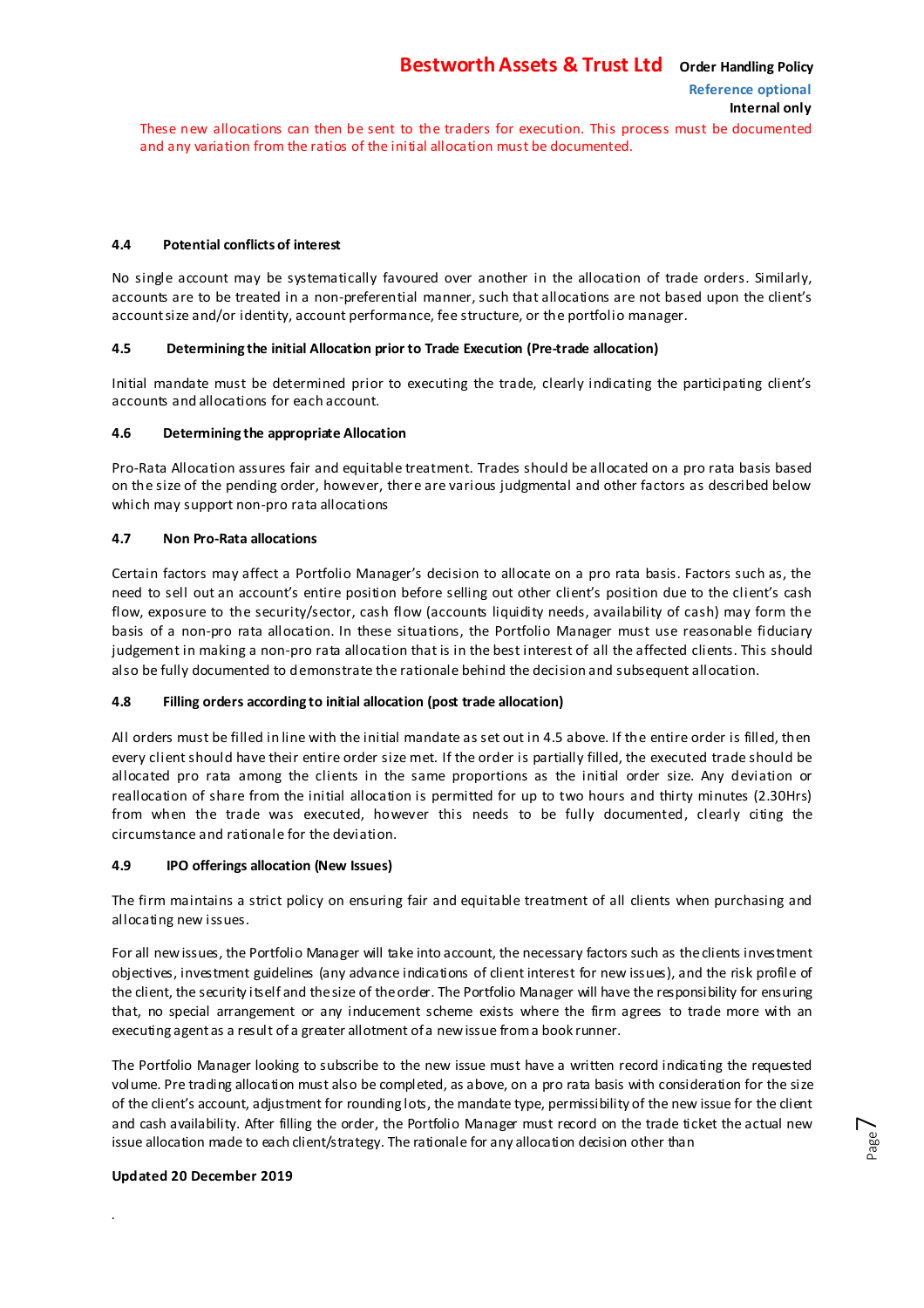These new allocations can then be sent to the traders for execution. This process must be documented and any variation from the ratios of the initial allocation must be documented.

#### **4.4 Potential conflicts of interest**

No single account may be systematically favoured over another in the allocation of trade orders. Similarly, accounts are to be treated in a non-preferential manner, such that allocations are not based upon the client's account size and/or identity, account performance, fee structure, or the portfolio manager.

#### **4.5 Determining the initial Allocation prior to Trade Execution (Pre-trade allocation)**

Initial mandate must be determined prior to executing the trade, clearly indicating the participating client's accounts and allocations for each account.

#### **4.6 Determining the appropriate Allocation**

Pro-Rata Allocation assures fair and equitable treatment. Trades should be allocated on a pro rata basis based on the size of the pending order, however, there are various judgmental and other factors as described below which may support non-pro rata allocations

#### **4.7 Non Pro-Rata allocations**

Certain factors may affect a Portfolio Manager's decision to allocate on a pro rata basis. Factors such as, the need to sell out an account's entire position before selling out other client's position due to the client's cash flow, exposure to the security/sector, cash flow (accounts liquidity needs, availability of cash) may form the basis of a non-pro rata allocation. In these situations, the Portfolio Manager must use reasonable fiduciary judgement in making a non-pro rata allocation that is in the best interest of all the affected clients. This should also be fully documented to demonstrate the rationale behind the decision and subsequent allocation.

#### **4.8 Filling orders according to initial allocation (post trade allocation)**

All orders must be filled in line with the initial mandate as set out in 4.5 above. If the entire order is filled, then every client should have their entire order size met. If the order is partially filled, the executed trade should be allocated pro rata among the clients in the same proportions as the initial order size. Any deviation or reallocation of share from the initial allocation is permitted for up to two hours and thirty minutes (2.30Hrs) from when the trade was executed, however this needs to be fully documented, clearly citing the circumstance and rationale for the deviation.

#### **4.9 IPO offerings allocation (New Issues)**

The firm maintains a strict policy on ensuring fair and equitable treatment of all clients when purchasing and allocating new issues.

For all new issues, the Portfolio Manager will take into account, the necessary factors such as the clients investment objectives, investment guidelines (any advance indications of client interest for new issues), and the risk profile of the client, the security itself and the size of the order. The Portfolio Manager will have the responsibility for ensuring that, no special arrangement or any inducement scheme exists where the firm agrees to trade more with an executing agent as a result of a greater allotment of a new issue from a book runner.

The Portfolio Manager looking to subscribe to the new issue must have a written record indicating the requested volume. Pre trading allocation must also be completed, as above, on a pro rata basis with consideration for the size of the client's account, adjustment for rounding lots, the mandate type, permissibility of the new issue for the client and cash availability. After filling the order, the Portfolio Manager must record on the trade ticket the actual new issue allocation made to each client/strategy. The rationale for any allocation decision other than

#### **Updated 20 December 2019**

*.*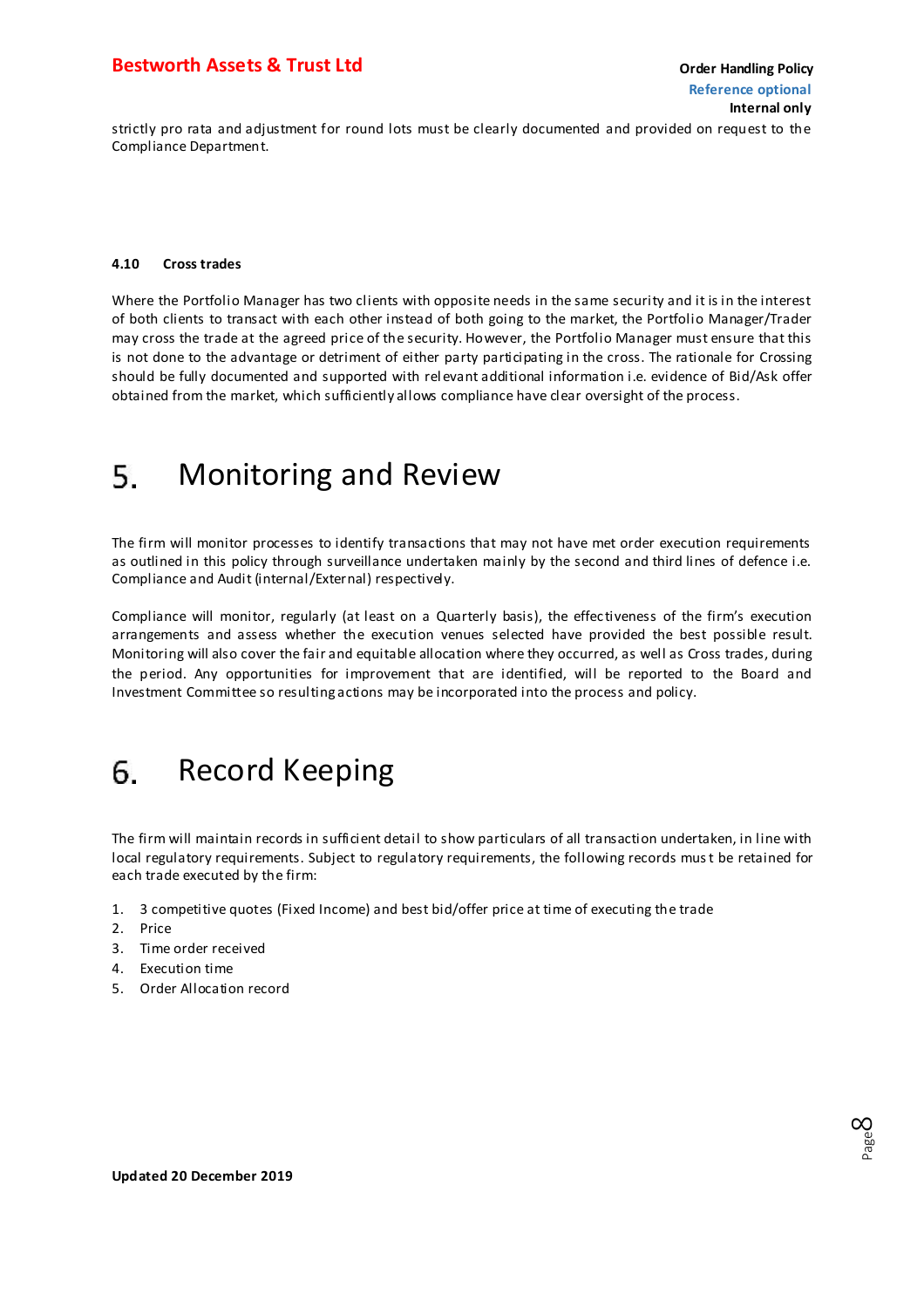#### <span id="page-7-0"></span>**Bestworth Assets & Trust Ltd Construction Construction Construction Construction Construction Construction Construction Construction Construction Construction Construction Construction Construction Construction Construc**

strictly pro rata and adjustment for round lots must be clearly documented and provided on request to the Compliance Department.

#### **4.10 Cross trades**

Where the Portfolio Manager has two clients with opposite needs in the same security and it is in the interest of both clients to transact with each other instead of both going to the market, the Portfolio Manager/Trader may cross the trade at the agreed price of the security. However, the Portfolio Manager must ensure that this is not done to the advantage or detriment of either party participating in the cross. The rationale for Crossing should be fully documented and supported with rel evant additional information i.e. evidence of Bid/Ask offer obtained from the market, which sufficiently allows compliance have clear oversight of the process.

#### Monitoring and Review 5.

The firm will monitor processes to identify transactions that may not have met order execution requirements as outlined in this policy through surveillance undertaken mainly by the second and third lines of defence i.e. Compliance and Audit (internal/External) respectively.

Compliance will monitor, regularly (at least on a Quarterly basis), the effec tiveness of the firm's execution arrangements and assess whether the execution venues selected have provided the best possible result. Monitoring will also cover the fair and equitable allocation where they occurred, as well as Cross trades, during the period. Any opportunities for improvement that are identified, will be reported to the Board and Investment Committee so resulting actions may be incorporated into the process and policy.

#### Record Keeping 6.

The firm will maintain records in sufficient detail to show particulars of all transaction undertaken, in line with local regulatory requirements. Subject to regulatory requirements, the following records must be retained for each trade executed by the firm:

- 1. 3 competitive quotes (Fixed Income) and best bid/offer price at time of executing the trade
- 2. Price
- 3. Time order received
- 4. Execution time
- 5. Order Allocation record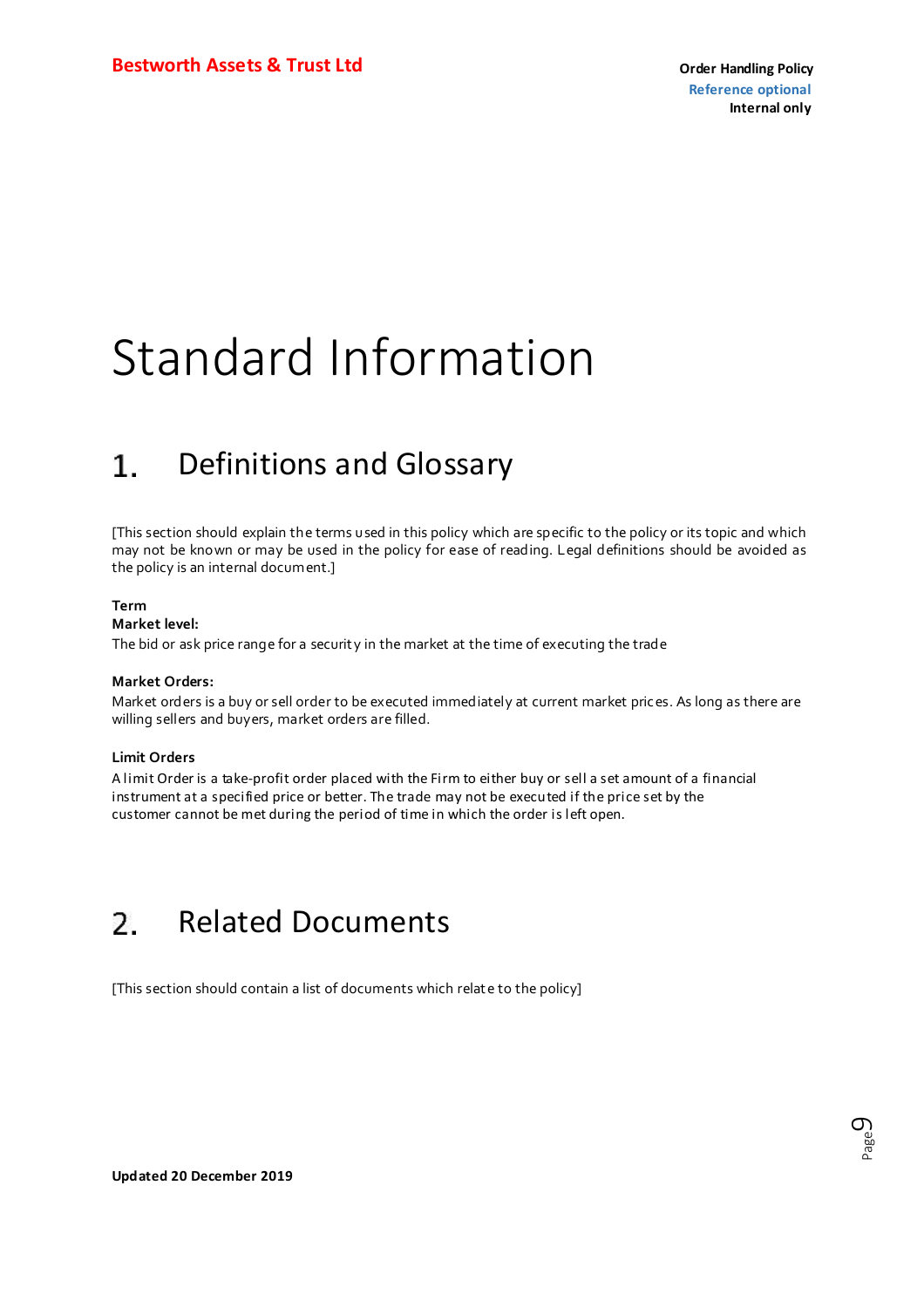## <span id="page-8-0"></span>Standard Information

#### 1. Definitions and Glossary

[This section should explain the terms used in this policy which are specific to the policy or its topic and which may not be known or may be used in the policy for ease of reading. Legal definitions should be avoided as the policy is an internal document.]

#### **Term**

#### **Market level:**

The bid or ask price range for a security in the market at the time of executing the trade

#### **Market Orders:**

Market orders is a buy or sell order to be executed immediately at current market prices. As long as there are willing sellers and buyers, market orders are filled.

#### **Limit Orders**

A limit Order is a take-profit order placed with the Firm to either buy or sell a set amount of a financial instrument at a specified price or better. The trade may not be executed if the price set by the customer cannot be met during the period of time in which the order is left open.

#### $\overline{2}$ Related Documents

[This section should contain a list of documents which relat e to the policy]